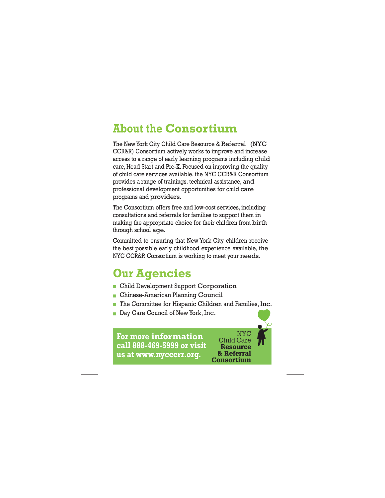## **About the Consortium**

The NewYork City Child Care Resource & Referral (NYC CCR&R) Consortium actively works to improve and increase access to a range of early learning programs including child care, Head Start and Pre-K. Focused on improving the quality of child care services available, the NYC CCR&R Consortium provides a range of trainings, technical assistance, and professional development opportunities for child care programs and providers.

The Consortium offers free and low-cost services, including consultations and referrals for families to support them in making the appropriate choice for their children from birth through school age.

Committed to ensuring that New York City children receive the best possible early childhood experience available, the NYC CCR&R Consortium is working to meet your needs.

## **Our Agencies**

- **Child Development Support Corporation**
- **Chinese-American Planning Council**
- The Committee for Hispanic Children and Families, Inc.
- Day Care Council of New York, Inc.

**For more information call 888-469-5999 or visit us at [www.nycccrr.org.](http://www.nycccrr.org/)**

**NYC Child Care Resource** & Referral **Consortium**